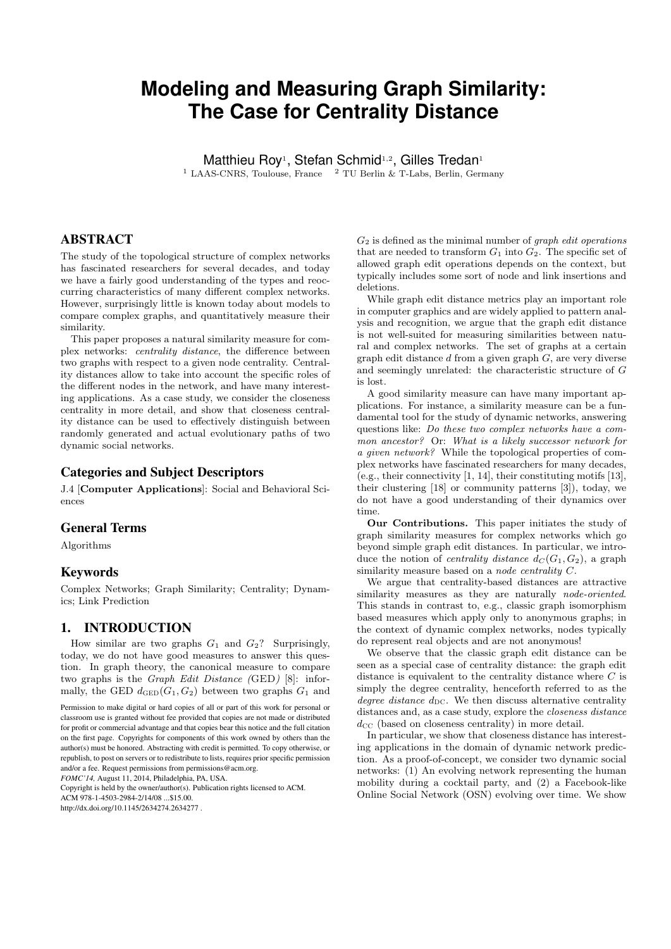# **Modeling and Measuring Graph Similarity: The Case for Centrality Distance**

Matthieu Roy<sup>1</sup>, Stefan Schmid<sup>1,2</sup>, Gilles Tredan<sup>1</sup> <sup>1</sup> LAAS-CNRS, Toulouse, France  $\frac{2 \text{ TU Berlin} \& \text{T-Labs}}{2 \text{ T-U}}$  Berlin, Germany

## ABSTRACT

The study of the topological structure of complex networks has fascinated researchers for several decades, and today we have a fairly good understanding of the types and reoccurring characteristics of many different complex networks. However, surprisingly little is known today about models to compare complex graphs, and quantitatively measure their similarity.

This paper proposes a natural similarity measure for complex networks: centrality distance, the difference between two graphs with respect to a given node centrality. Centrality distances allow to take into account the specific roles of the different nodes in the network, and have many interesting applications. As a case study, we consider the closeness centrality in more detail, and show that closeness centrality distance can be used to effectively distinguish between randomly generated and actual evolutionary paths of two dynamic social networks.

#### Categories and Subject Descriptors

J.4 [Computer Applications]: Social and Behavioral Sciences

## General Terms

Algorithms

#### Keywords

Complex Networks; Graph Similarity; Centrality; Dynamics; Link Prediction

## 1. INTRODUCTION

How similar are two graphs  $G_1$  and  $G_2$ ? Surprisingly, today, we do not have good measures to answer this question. In graph theory, the canonical measure to compare two graphs is the Graph Edit Distance (GED) [8]: informally, the GED  $d_{\text{GED}}(G_1, G_2)$  between two graphs  $G_1$  and

*FOMC'14,* August 11, 2014, Philadelphia, PA, USA.

Copyright is held by the owner/author(s). Publication rights licensed to ACM.

ACM 978-1-4503-2984-2/14/08 \$15.00

http://dx.doi.org/10.1145/2634274.2634277 .

 $G_2$  is defined as the minimal number of graph edit operations that are needed to transform  $G_1$  into  $G_2$ . The specific set of allowed graph edit operations depends on the context, but typically includes some sort of node and link insertions and deletions.

While graph edit distance metrics play an important role in computer graphics and are widely applied to pattern analysis and recognition, we argue that the graph edit distance is not well-suited for measuring similarities between natural and complex networks. The set of graphs at a certain graph edit distance  $d$  from a given graph  $G$ , are very diverse and seemingly unrelated: the characteristic structure of G is lost.

A good similarity measure can have many important applications. For instance, a similarity measure can be a fundamental tool for the study of dynamic networks, answering questions like: Do these two complex networks have a common ancestor? Or: What is a likely successor network for a given network? While the topological properties of complex networks have fascinated researchers for many decades,  $(e.g., their connectivity [1, 14], their constituting motifs [13],$ their clustering  $[18]$  or community patterns  $[3]$ , today, we do not have a good understanding of their dynamics over time.

Our Contributions. This paper initiates the study of graph similarity measures for complex networks which go beyond simple graph edit distances. In particular, we introduce the notion of *centrality distance*  $d_C(G_1, G_2)$ , a graph similarity measure based on a node centrality C.

We argue that centrality-based distances are attractive similarity measures as they are naturally *node-oriented*. This stands in contrast to, e.g., classic graph isomorphism based measures which apply only to anonymous graphs; in the context of dynamic complex networks, nodes typically do represent real objects and are not anonymous!

We observe that the classic graph edit distance can be seen as a special case of centrality distance: the graph edit distance is equivalent to the centrality distance where C is simply the degree centrality, henceforth referred to as the degree distance  $d_{\text{DC}}$ . We then discuss alternative centrality distances and, as a case study, explore the *closeness distance*  $d_{\rm CC}$  (based on closeness centrality) in more detail.

In particular, we show that closeness distance has interesting applications in the domain of dynamic network prediction. As a proof-of-concept, we consider two dynamic social networks: (1) An evolving network representing the human mobility during a cocktail party, and (2) a Facebook-like Online Social Network (OSN) evolving over time. We show

Permission to make digital or hard copies of all or part of this work for personal or classroom use is granted without fee provided that copies are not made or distributed for profit or commercial advantage and that copies bear this notice and the full citation on the first page. Copyrights for components of this work owned by others than the author(s) must be honored. Abstracting with credit is permitted. To copy otherwise, or republish, to post on servers or to redistribute to lists, requires prior specific permission and/or a fee. Request permissions from permissions@acm.org.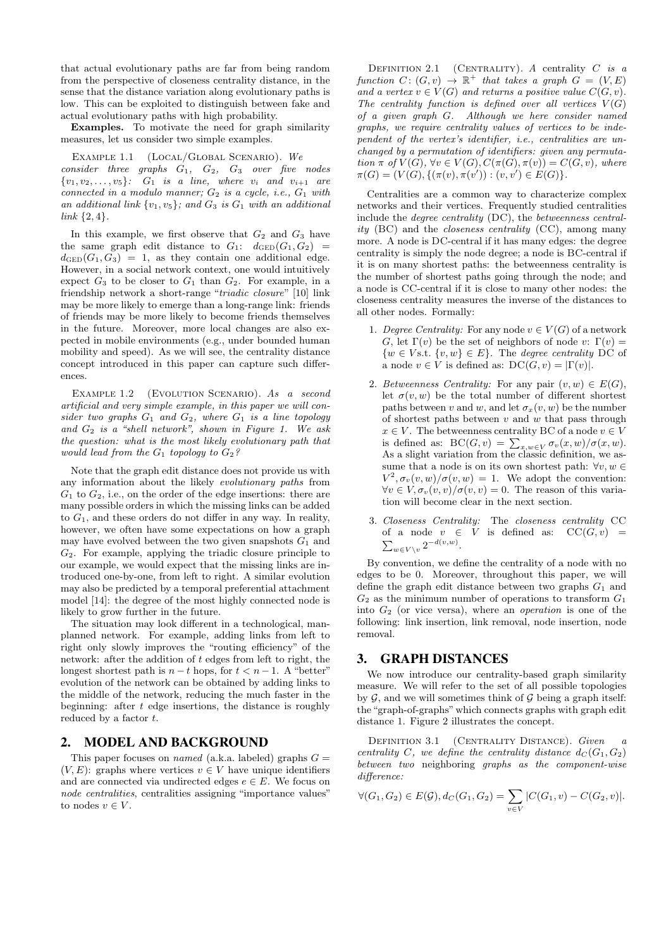that actual evolutionary paths are far from being random from the perspective of closeness centrality distance, in the sense that the distance variation along evolutionary paths is low. This can be exploited to distinguish between fake and actual evolutionary paths with high probability.

Examples. To motivate the need for graph similarity measures, let us consider two simple examples.

Example 1.1 (Local/Global Scenario). We consider three graphs  $G_1$ ,  $G_2$ ,  $G_3$  over five nodes  $\{v_1, v_2, \ldots, v_5\}$ :  $G_1$  is a line, where  $v_i$  and  $v_{i+1}$  are connected in a modulo manner;  $G_2$  is a cycle, i.e.,  $G_1$  with an additional link  $\{v_1, v_5\}$ ; and  $G_3$  is  $G_1$  with an additional  $link\{2,4\}.$ 

In this example, we first observe that  $G_2$  and  $G_3$  have the same graph edit distance to  $G_1: d_{\text{GED}}(G_1, G_2)$  $d_{\text{GED}}(G_1, G_3) = 1$ , as they contain one additional edge. However, in a social network context, one would intuitively expect  $G_3$  to be closer to  $G_1$  than  $G_2$ . For example, in a friendship network a short-range "triadic closure" [10] link may be more likely to emerge than a long-range link: friends of friends may be more likely to become friends themselves in the future. Moreover, more local changes are also expected in mobile environments (e.g., under bounded human mobility and speed). As we will see, the centrality distance concept introduced in this paper can capture such differences.

EXAMPLE 1.2 (EVOLUTION SCENARIO). As a second artificial and very simple example, in this paper we will consider two graphs  $G_1$  and  $G_2$ , where  $G_1$  is a line topology and  $G_2$  is a "shell network", shown in Figure 1. We ask the question: what is the most likely evolutionary path that would lead from the  $G_1$  topology to  $G_2$ ?

Note that the graph edit distance does not provide us with any information about the likely evolutionary paths from  $G_1$  to  $G_2$ , i.e., on the order of the edge insertions: there are many possible orders in which the missing links can be added to  $G_1$ , and these orders do not differ in any way. In reality, however, we often have some expectations on how a graph may have evolved between the two given snapshots  $G_1$  and  $G_2$ . For example, applying the triadic closure principle to our example, we would expect that the missing links are introduced one-by-one, from left to right. A similar evolution may also be predicted by a temporal preferential attachment model [14]: the degree of the most highly connected node is likely to grow further in the future.

The situation may look different in a technological, manplanned network. For example, adding links from left to right only slowly improves the "routing efficiency" of the network: after the addition of  $t$  edges from left to right, the longest shortest path is  $n - t$  hops, for  $t < n - 1$ . A "better" evolution of the network can be obtained by adding links to the middle of the network, reducing the much faster in the beginning: after  $t$  edge insertions, the distance is roughly reduced by a factor  $t$ .

## 2. MODEL AND BACKGROUND

This paper focuses on *named* (a.k.a. labeled) graphs  $G =$  $(V, E)$ : graphs where vertices  $v \in V$  have unique identifiers and are connected via undirected edges  $e \in E$ . We focus on node centralities, centralities assigning "importance values" to nodes  $v \in V$ .

DEFINITION 2.1 (CENTRALITY). A centrality  $C$  is a function  $C: (G, v) \rightarrow \mathbb{R}^+$  that takes a graph  $G = (V, E)$ and a vertex  $v \in V(G)$  and returns a positive value  $C(G, v)$ . The centrality function is defined over all vertices  $V(G)$ of a given graph G. Although we here consider named graphs, we require centrality values of vertices to be independent of the vertex's identifier, i.e., centralities are unchanged by a permutation of identifiers: given any permutation  $\pi$  of  $V(G)$ ,  $\forall v \in V(G)$ ,  $C(\pi(G), \pi(v)) = C(G, v)$ , where  $\pi(G) = (V(G), \{(\pi(v), \pi(v')) : (v, v') \in E(G)\}.$ 

Centralities are a common way to characterize complex networks and their vertices. Frequently studied centralities include the degree centrality (DC), the betweenness centrality (BC) and the *closeness centrality* (CC), among many more. A node is DC-central if it has many edges: the degree centrality is simply the node degree; a node is BC-central if it is on many shortest paths: the betweenness centrality is the number of shortest paths going through the node; and a node is CC-central if it is close to many other nodes: the closeness centrality measures the inverse of the distances to all other nodes. Formally:

- 1. Degree Centrality: For any node  $v \in V(G)$  of a network G, let  $\Gamma(v)$  be the set of neighbors of node v:  $\Gamma(v)$  =  $\{w \in V \text{s.t. } \{v, w\} \in E\}.$  The degree centrality DC of a node  $v \in V$  is defined as:  $DC(G, v) = |\Gamma(v)|$ .
- 2. Betweenness Centrality: For any pair  $(v, w) \in E(G)$ , let  $\sigma(v, w)$  be the total number of different shortest paths between v and w, and let  $\sigma_x(v, w)$  be the number of shortest paths between  $v$  and  $w$  that pass through  $x \in V$ . The betweenness centrality BC of a node  $v \in V$ is defined as: BC(G, v) =  $\sum_{x,w \in V} \sigma_v(x,w) / \sigma(x,w)$ . As a slight variation from the classic definition, we assume that a node is on its own shortest path:  $\forall v, w \in$  $V^2, \sigma_v(v, w) / \sigma(v, w) = 1$ . We adopt the convention:  $\forall v \in V, \sigma_v(v, v) / \sigma(v, v) = 0$ . The reason of this variation will become clear in the next section.
- 3. Closeness Centrality: The closeness centrality CC of a node  $v \in V$  is defined as:  $CC(G, v) = \sum_{w \in V \setminus v} 2^{-d(v,w)}$ .  $w \in V \setminus v \cdot 2^{-d(v,w)}.$

By convention, we define the centrality of a node with no edges to be 0. Moreover, throughout this paper, we will define the graph edit distance between two graphs  $G_1$  and  $G_2$  as the minimum number of operations to transform  $G_1$ into  $G_2$  (or vice versa), where an *operation* is one of the following: link insertion, link removal, node insertion, node removal.

## 3. GRAPH DISTANCES

We now introduce our centrality-based graph similarity measure. We will refer to the set of all possible topologies by  $G$ , and we will sometimes think of  $G$  being a graph itself: the "graph-of-graphs"which connects graphs with graph edit distance 1. Figure 2 illustrates the concept.

DEFINITION 3.1 (CENTRALITY DISTANCE). Given a centrality C, we define the centrality distance  $d_C(G_1, G_2)$ between two neighboring graphs as the component-wise difference:

$$
\forall (G_1, G_2) \in E(\mathcal{G}), d_C(G_1, G_2) = \sum_{v \in V} |C(G_1, v) - C(G_2, v)|.
$$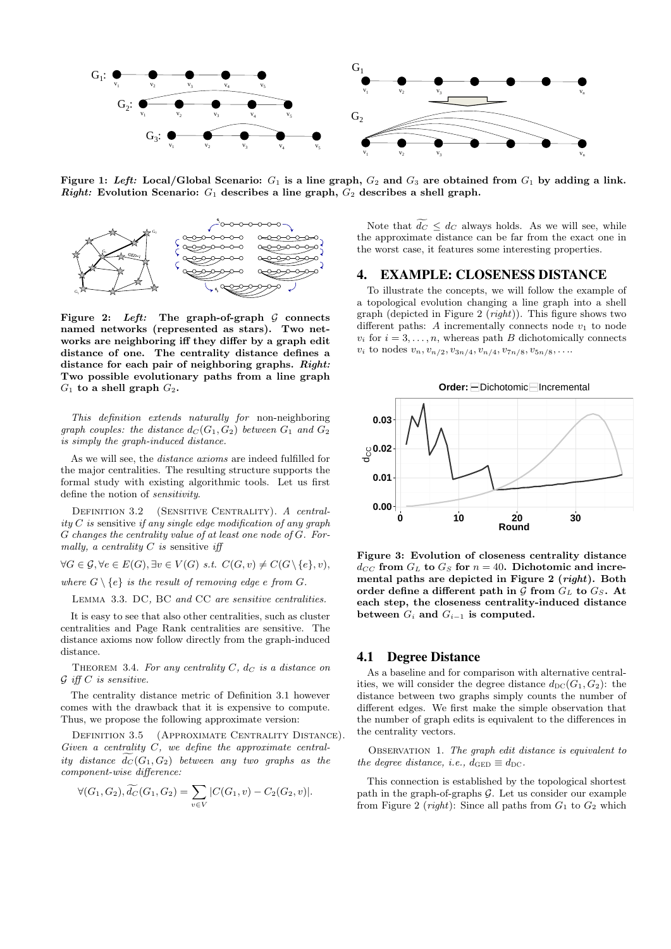

Figure 1: Left: Local/Global Scenario:  $G_1$  is a line graph,  $G_2$  and  $G_3$  are obtained from  $G_1$  by adding a link. *Right:* Evolution Scenario:  $G_1$  describes a line graph,  $G_2$  describes a shell graph.



Figure 2: Left: The graph-of-graph  $G$  connects named networks (represented as stars). Two networks are neighboring iff they differ by a graph edit distance of one. The centrality distance defines a distance for each pair of neighboring graphs. Right: Two possible evolutionary paths from a line graph  $G_1$  to a shell graph  $G_2$ .

This definition extends naturally for non-neighboring graph couples: the distance  $d_C(G_1, G_2)$  between  $G_1$  and  $G_2$ is simply the graph-induced distance.

As we will see, the distance axioms are indeed fulfilled for the major centralities. The resulting structure supports the formal study with existing algorithmic tools. Let us first define the notion of sensitivity.

DEFINITION 3.2 (SENSITIVE CENTRALITY). A centrality  $C$  is sensitive if any single edge modification of any graph G changes the centrality value of at least one node of G. Formally, a centrality  $C$  is sensitive iff

 $\forall G \in \mathcal{G}, \forall e \in E(G), \exists v \in V(G) \text{ s.t. } C(G, v) \neq C(G \setminus \{e\}, v),$ 

where  $G \setminus \{e\}$  is the result of removing edge e from G.

Lemma 3.3. DC, BC and CC are sensitive centralities.

It is easy to see that also other centralities, such as cluster centralities and Page Rank centralities are sensitive. The distance axioms now follow directly from the graph-induced distance.

THEOREM 3.4. For any centrality  $C, d_C$  is a distance on  $G$  iff  $C$  is sensitive.

The centrality distance metric of Definition 3.1 however comes with the drawback that it is expensive to compute. Thus, we propose the following approximate version:

DEFINITION 3.5 (APPROXIMATE CENTRALITY DISTANCE). Given a centrality  $C$ , we define the approximate centrality distance  $\widetilde{d_{C}}(G_1, G_2)$  between any two graphs as the component-wise difference:

$$
\forall (G_1, G_2), \widetilde{d_C}(G_1, G_2) = \sum_{v \in V} |C(G_1, v) - C_2(G_2, v)|.
$$

Note that  $\widetilde{d_C} \leq d_C$  always holds. As we will see, while the approximate distance can be far from the exact one in the worst case, it features some interesting properties.

#### 4. EXAMPLE: CLOSENESS DISTANCE

To illustrate the concepts, we will follow the example of a topological evolution changing a line graph into a shell graph (depicted in Figure 2  $(right)$ ). This figure shows two different paths:  $A$  incrementally connects node  $v_1$  to node  $v_i$  for  $i = 3, \ldots, n$ , whereas path B dichotomically connects  $v_i$  to nodes  $v_n, v_{n/2}, v_{3n/4}, v_{n/4}, v_{7n/8}, v_{5n/8}, \ldots$ 



Figure 3: Evolution of closeness centrality distance  $d_{CC}$  from  $G_L$  to  $G_S$  for  $n = 40$ . Dichotomic and incremental paths are depicted in Figure 2 (right). Both order define a different path in  $G$  from  $G_L$  to  $G_S$ . At each step, the closeness centrality-induced distance between  $G_i$  and  $G_{i-1}$  is computed.

#### 4.1 Degree Distance

As a baseline and for comparison with alternative centralities, we will consider the degree distance  $d_{\text{DC}}(G_1, G_2)$ : the distance between two graphs simply counts the number of different edges. We first make the simple observation that the number of graph edits is equivalent to the differences in the centrality vectors.

OBSERVATION 1. The graph edit distance is equivalent to the degree distance, i.e.,  $d_{\text{GED}} \equiv d_{\text{DC}}$ .

This connection is established by the topological shortest path in the graph-of-graphs  $G$ . Let us consider our example from Figure 2 (*right*): Since all paths from  $G_1$  to  $G_2$  which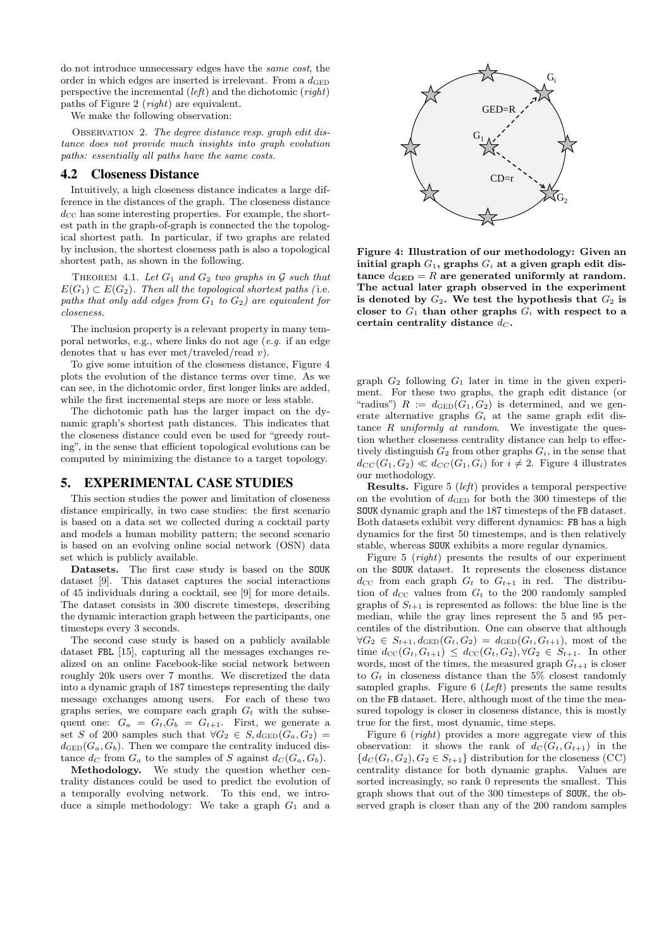do not introduce unnecessary edges have the same cost, the order in which edges are inserted is irrelevant. From a  $d_{\text{GED}}$ perspective the incremental  $(left)$  and the dichotomic  $(\textit{right})$ paths of Figure 2 (right) are equivalent.

We make the following observation:

OBSERVATION 2. The degree distance resp. graph edit distance does not provide much insights into graph evolution paths: essentially all paths have the same costs.

#### 4.2 Closeness Distance

Intuitively, a high closeness distance indicates a large difference in the distances of the graph. The closeness distance  $d_{\rm CC}$  has some interesting properties. For example, the shortest path in the graph-of-graph is connected the the topological shortest path. In particular, if two graphs are related by inclusion, the shortest closeness path is also a topological shortest path, as shown in the following.

THEOREM 4.1. Let  $G_1$  and  $G_2$  two graphs in  $G$  such that  $E(G_1) \subset E(G_2)$ . Then all the topological shortest paths (i.e. paths that only add edges from  $G_1$  to  $G_2$ ) are equivalent for closeness.

The inclusion property is a relevant property in many temporal networks, e.g., where links do not age  $(e.q.$  if an edge denotes that u has ever met/traveled/read v).

To give some intuition of the closeness distance, Figure 4 plots the evolution of the distance terms over time. As we can see, in the dichotomic order, first longer links are added, while the first incremental steps are more or less stable.

The dichotomic path has the larger impact on the dynamic graph's shortest path distances. This indicates that the closeness distance could even be used for "greedy routing", in the sense that efficient topological evolutions can be computed by minimizing the distance to a target topology.

#### 5. EXPERIMENTAL CASE STUDIES

This section studies the power and limitation of closeness distance empirically, in two case studies: the first scenario is based on a data set we collected during a cocktail party and models a human mobility pattern; the second scenario is based on an evolving online social network (OSN) data set which is publicly available.

Datasets. The first case study is based on the SOUK dataset [9]. This dataset captures the social interactions of 45 individuals during a cocktail, see [9] for more details. The dataset consists in 300 discrete timesteps, describing the dynamic interaction graph between the participants, one timesteps every 3 seconds.

The second case study is based on a publicly available dataset FBL [15], capturing all the messages exchanges realized on an online Facebook-like social network between roughly 20k users over 7 months. We discretized the data into a dynamic graph of 187 timesteps representing the daily message exchanges among users. For each of these two graphs series, we compare each graph  $G_t$  with the subsequent one:  $G_a = G_t, G_b = G_{t+1}$ . First, we generate a set S of 200 samples such that  $\forall G_2 \in S, d_{\text{GED}}(G_a, G_2)$  $d_{\text{GED}}(G_a, G_b)$ . Then we compare the centrality induced distance  $d_C$  from  $G_a$  to the samples of S against  $d_C(G_a, G_b)$ .

Methodology. We study the question whether centrality distances could be used to predict the evolution of a temporally evolving network. To this end, we introduce a simple methodology: We take a graph  $G_1$  and a



Figure 4: Illustration of our methodology: Given an initial graph  $G_1$ , graphs  $G_i$  at a given graph edit distance  $d_{\text{GED}} = R$  are generated uniformly at random. The actual later graph observed in the experiment is denoted by  $G_2$ . We test the hypothesis that  $G_2$  is closer to  $G_1$  than other graphs  $G_i$  with respect to a certain centrality distance  $d_C$ .

graph  $G_2$  following  $G_1$  later in time in the given experiment. For these two graphs, the graph edit distance (or "radius")  $R := d_{\text{GED}}(G_1, G_2)$  is determined, and we generate alternative graphs  $G_i$  at the same graph edit distance R uniformly at random. We investigate the question whether closeness centrality distance can help to effectively distinguish  $G_2$  from other graphs  $G_i$ , in the sense that  $d_{CC}(G_1, G_2) \ll d_{CC}(G_1, G_i)$  for  $i \neq 2$ . Figure 4 illustrates our methodology.

Results. Figure 5 (left) provides a temporal perspective on the evolution of  $d_{\text{GED}}$  for both the 300 timesteps of the SOUK dynamic graph and the 187 timesteps of the FB dataset. Both datasets exhibit very different dynamics: FB has a high dynamics for the first 50 timestemps, and is then relatively stable, whereas SOUK exhibits a more regular dynamics.

Figure 5 (right) presents the results of our experiment on the SOUK dataset. It represents the closeness distance  $d_{\rm CC}$  from each graph  $G_t$  to  $G_{t+1}$  in red. The distribution of  $d_{\rm CC}$  values from  $G_t$  to the 200 randomly sampled graphs of  $S_{t+1}$  is represented as follows: the blue line is the median, while the gray lines represent the 5 and 95 percentiles of the distribution. One can observe that although  $\forall G_2 \in S_{t+1}, d_{\text{GED}}(G_t, G_2) = d_{\text{GED}}(G_t, G_{t+1}), \text{ most of the}$ time  $d_{\text{CC}}(G_t, G_{t+1}) \leq d_{\text{CC}}(G_t, G_2), \forall G_2 \in S_{t+1}$ . In other words, most of the times, the measured graph  $G_{t+1}$  is closer to  $G_t$  in closeness distance than the 5% closest randomly sampled graphs. Figure 6 (*Left*) presents the same results on the FB dataset. Here, although most of the time the measured topology is closer in closeness distance, this is mostly true for the first, most dynamic, time steps.

Figure 6 (right) provides a more aggregate view of this observation: it shows the rank of  $d_C(G_t, G_{t+1})$  in the  ${d_C(G_t, G_2), G_2 \in S_{t+1}}$  distribution for the closeness (CC) centrality distance for both dynamic graphs. Values are sorted increasingly, so rank 0 represents the smallest. This graph shows that out of the 300 timesteps of SOUK, the observed graph is closer than any of the 200 random samples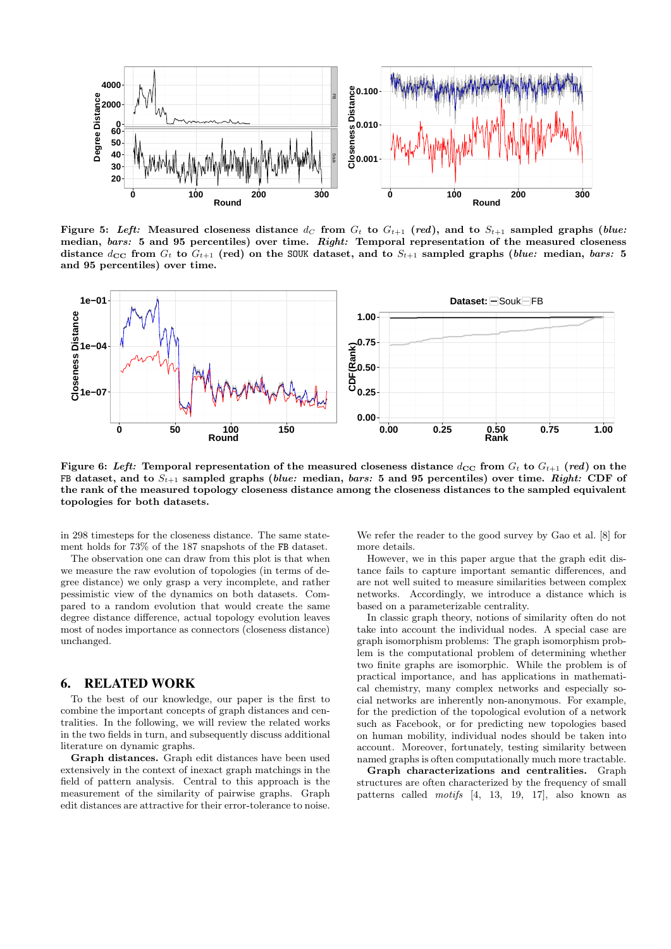

Figure 5: Left: Measured closeness distance  $d_C$  from  $G_t$  to  $G_{t+1}$  (red), and to  $S_{t+1}$  sampled graphs (blue: median, bars: 5 and 95 percentiles) over time. Right: Temporal representation of the measured closeness distance  $d_{\text{CC}}$  from  $G_t$  to  $G_{t+1}$  (red) on the SOUK dataset, and to  $S_{t+1}$  sampled graphs (blue: median, bars: 5 and 95 percentiles) over time.



Figure 6: Left: Temporal representation of the measured closeness distance  $d_{\text{CC}}$  from  $G_t$  to  $G_{t+1}$  (red) on the FB dataset, and to  $S_{t+1}$  sampled graphs (blue: median, bars: 5 and 95 percentiles) over time. Right: CDF of the rank of the measured topology closeness distance among the closeness distances to the sampled equivalent topologies for both datasets.

in 298 timesteps for the closeness distance. The same statement holds for 73% of the 187 snapshots of the FB dataset.

The observation one can draw from this plot is that when we measure the raw evolution of topologies (in terms of degree distance) we only grasp a very incomplete, and rather pessimistic view of the dynamics on both datasets. Compared to a random evolution that would create the same degree distance difference, actual topology evolution leaves most of nodes importance as connectors (closeness distance) unchanged.

## 6. RELATED WORK

To the best of our knowledge, our paper is the first to combine the important concepts of graph distances and centralities. In the following, we will review the related works in the two fields in turn, and subsequently discuss additional literature on dynamic graphs.

Graph distances. Graph edit distances have been used extensively in the context of inexact graph matchings in the field of pattern analysis. Central to this approach is the measurement of the similarity of pairwise graphs. Graph edit distances are attractive for their error-tolerance to noise.

We refer the reader to the good survey by Gao et al. [8] for more details.

However, we in this paper argue that the graph edit distance fails to capture important semantic differences, and are not well suited to measure similarities between complex networks. Accordingly, we introduce a distance which is based on a parameterizable centrality.

In classic graph theory, notions of similarity often do not take into account the individual nodes. A special case are graph isomorphism problems: The graph isomorphism problem is the computational problem of determining whether two finite graphs are isomorphic. While the problem is of practical importance, and has applications in mathematical chemistry, many complex networks and especially social networks are inherently non-anonymous. For example, for the prediction of the topological evolution of a network such as Facebook, or for predicting new topologies based on human mobility, individual nodes should be taken into account. Moreover, fortunately, testing similarity between named graphs is often computationally much more tractable.

Graph characterizations and centralities. Graph structures are often characterized by the frequency of small patterns called motifs [4, 13, 19, 17], also known as